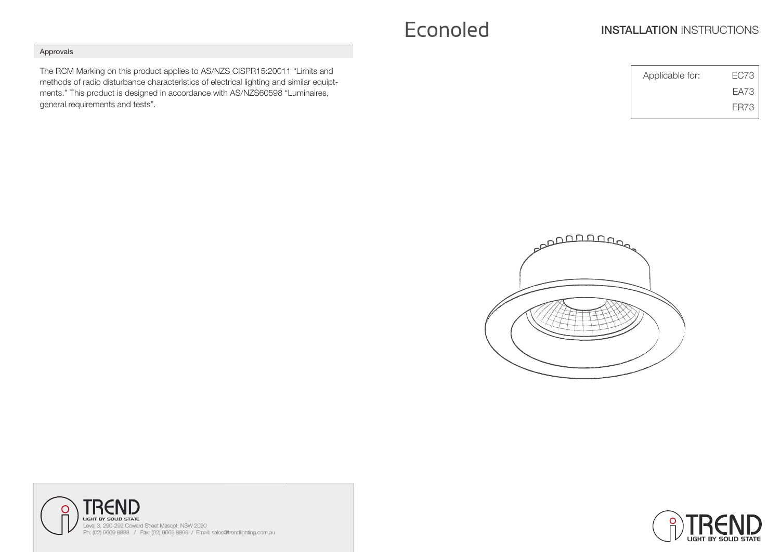# Econoled **INSTALLATION INSTRUCTIONS**

## Approvals

The RCM Marking on this product applies to AS/NZS CISPR15:20011 "Limits and methods of radio disturbance characteristics of electrical lighting and similar equiptments." This product is designed in accordance with AS/NZS60598 "Luminaires, general requirements and tests".

| Applicable for: | FC73 |
|-----------------|------|
|                 | FA73 |
|                 | FR73 |